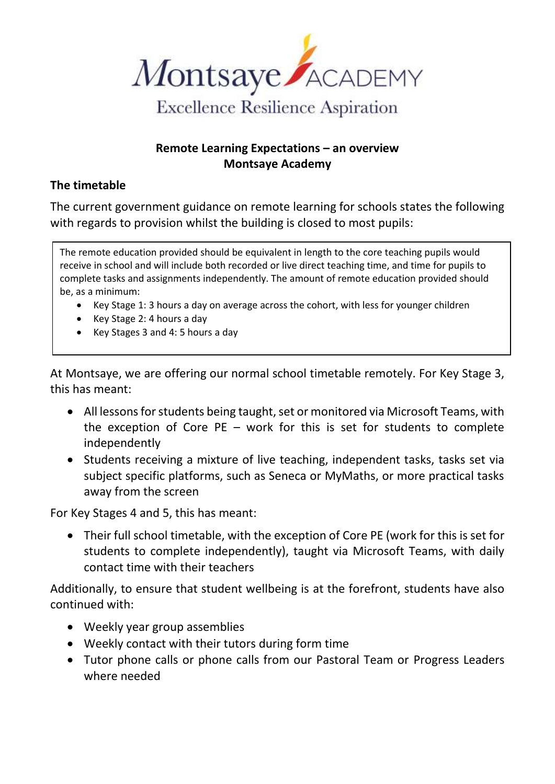

## **Remote Learning Expectations – an overview Montsaye Academy**

## **The timetable**

The current government guidance on remote learning for schools states the following with regards to provision whilst the building is closed to most pupils:

The remote education provided should be equivalent in length to the core teaching pupils would receive in school and will include both recorded or live direct teaching time, and time for pupils to complete tasks and assignments independently. The amount of remote education provided should be, as a minimum:

- Key Stage 1: 3 hours a day on average across the cohort, with less for younger children
- Key Stage 2: 4 hours a day
- Key Stages 3 and 4: 5 hours a day

At Montsaye, we are offering our normal school timetable remotely. For Key Stage 3, this has meant:

- All lessons for students being taught, set or monitored via Microsoft Teams, with the exception of Core  $PE$  – work for this is set for students to complete independently
- Students receiving a mixture of live teaching, independent tasks, tasks set via subject specific platforms, such as Seneca or MyMaths, or more practical tasks away from the screen

For Key Stages 4 and 5, this has meant:

• Their full school timetable, with the exception of Core PE (work for this is set for students to complete independently), taught via Microsoft Teams, with daily contact time with their teachers

Additionally, to ensure that student wellbeing is at the forefront, students have also continued with:

- Weekly year group assemblies
- Weekly contact with their tutors during form time
- Tutor phone calls or phone calls from our Pastoral Team or Progress Leaders where needed